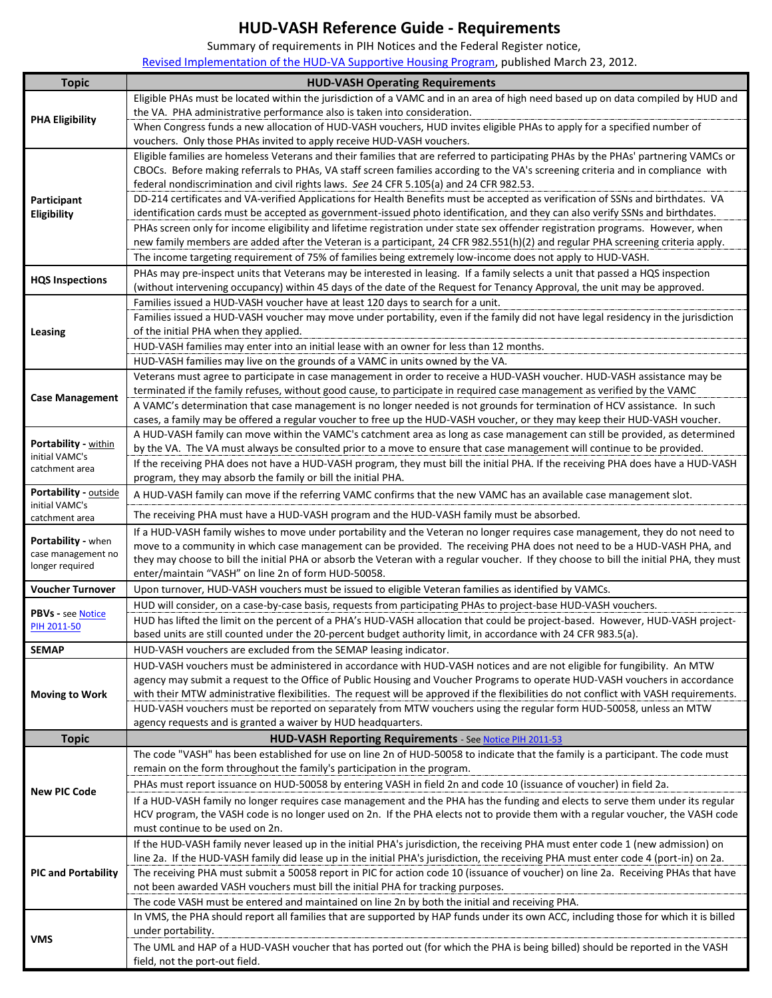## **HUD-VASH Reference Guide - Requirements**

Summary of requirements in PIH Notices and the Federal Register notice,

[Revised Implementation of the HUD-VA Supportive Housing Program,](http://www.gpo.gov/fdsys/pkg/FR-2012-03-23/pdf/2012-7081.pdf) published March 23, 2012.

| <b>Topic</b>                          | <b>HUD-VASH Operating Requirements</b>                                                                                                                                                                                                                                   |  |  |
|---------------------------------------|--------------------------------------------------------------------------------------------------------------------------------------------------------------------------------------------------------------------------------------------------------------------------|--|--|
|                                       | Eligible PHAs must be located within the jurisdiction of a VAMC and in an area of high need based up on data compiled by HUD and                                                                                                                                         |  |  |
|                                       | the VA. PHA administrative performance also is taken into consideration.                                                                                                                                                                                                 |  |  |
| <b>PHA Eligibility</b>                | When Congress funds a new allocation of HUD-VASH vouchers, HUD invites eligible PHAs to apply for a specified number of                                                                                                                                                  |  |  |
|                                       | vouchers. Only those PHAs invited to apply receive HUD-VASH vouchers.                                                                                                                                                                                                    |  |  |
|                                       | Eligible families are homeless Veterans and their families that are referred to participating PHAs by the PHAs' partnering VAMCs or                                                                                                                                      |  |  |
|                                       | CBOCs. Before making referrals to PHAs, VA staff screen families according to the VA's screening criteria and in compliance with                                                                                                                                         |  |  |
|                                       | federal nondiscrimination and civil rights laws. See 24 CFR 5.105(a) and 24 CFR 982.53.                                                                                                                                                                                  |  |  |
| Participant<br>Eligibility            | DD-214 certificates and VA-verified Applications for Health Benefits must be accepted as verification of SSNs and birthdates. VA<br>identification cards must be accepted as government-issued photo identification, and they can also verify SSNs and birthdates.       |  |  |
|                                       | PHAs screen only for income eligibility and lifetime registration under state sex offender registration programs. However, when                                                                                                                                          |  |  |
|                                       | new family members are added after the Veteran is a participant, 24 CFR 982.551(h)(2) and regular PHA screening criteria apply.                                                                                                                                          |  |  |
|                                       | The income targeting requirement of 75% of families being extremely low-income does not apply to HUD-VASH.                                                                                                                                                               |  |  |
|                                       | PHAs may pre-inspect units that Veterans may be interested in leasing. If a family selects a unit that passed a HQS inspection                                                                                                                                           |  |  |
| <b>HQS Inspections</b>                | (without intervening occupancy) within 45 days of the date of the Request for Tenancy Approval, the unit may be approved.                                                                                                                                                |  |  |
|                                       | Families issued a HUD-VASH voucher have at least 120 days to search for a unit.                                                                                                                                                                                          |  |  |
|                                       | Families issued a HUD-VASH voucher may move under portability, even if the family did not have legal residency in the jurisdiction                                                                                                                                       |  |  |
| Leasing                               | of the initial PHA when they applied.                                                                                                                                                                                                                                    |  |  |
|                                       | HUD-VASH families may enter into an initial lease with an owner for less than 12 months.                                                                                                                                                                                 |  |  |
|                                       | HUD-VASH families may live on the grounds of a VAMC in units owned by the VA.                                                                                                                                                                                            |  |  |
|                                       | Veterans must agree to participate in case management in order to receive a HUD-VASH voucher. HUD-VASH assistance may be                                                                                                                                                 |  |  |
| <b>Case Management</b>                | terminated if the family refuses, without good cause, to participate in required case management as verified by the VAMC<br>A VAMC's determination that case management is no longer needed is not grounds for termination of HCV assistance. In such                    |  |  |
|                                       | cases, a family may be offered a regular voucher to free up the HUD-VASH voucher, or they may keep their HUD-VASH voucher.                                                                                                                                               |  |  |
|                                       | A HUD-VASH family can move within the VAMC's catchment area as long as case management can still be provided, as determined                                                                                                                                              |  |  |
| Portability - within                  | by the VA. The VA must always be consulted prior to a move to ensure that case management will continue to be provided.                                                                                                                                                  |  |  |
| initial VAMC's<br>catchment area      | If the receiving PHA does not have a HUD-VASH program, they must bill the initial PHA. If the receiving PHA does have a HUD-VASH                                                                                                                                         |  |  |
|                                       | program, they may absorb the family or bill the initial PHA.                                                                                                                                                                                                             |  |  |
| Portability - outside                 | A HUD-VASH family can move if the referring VAMC confirms that the new VAMC has an available case management slot.                                                                                                                                                       |  |  |
| initial VAMC's<br>catchment area      | The receiving PHA must have a HUD-VASH program and the HUD-VASH family must be absorbed.                                                                                                                                                                                 |  |  |
|                                       | If a HUD-VASH family wishes to move under portability and the Veteran no longer requires case management, they do not need to                                                                                                                                            |  |  |
| Portability - when                    | move to a community in which case management can be provided. The receiving PHA does not need to be a HUD-VASH PHA, and                                                                                                                                                  |  |  |
| case management no<br>longer required | they may choose to bill the initial PHA or absorb the Veteran with a regular voucher. If they choose to bill the initial PHA, they must                                                                                                                                  |  |  |
|                                       | enter/maintain "VASH" on line 2n of form HUD-50058.                                                                                                                                                                                                                      |  |  |
| <b>Voucher Turnover</b>               | Upon turnover, HUD-VASH vouchers must be issued to eligible Veteran families as identified by VAMCs.                                                                                                                                                                     |  |  |
| <b>PBVs - see Notice</b>              | HUD will consider, on a case-by-case basis, requests from participating PHAs to project-base HUD-VASH vouchers.                                                                                                                                                          |  |  |
| PIH 2011-50                           | HUD has lifted the limit on the percent of a PHA's HUD-VASH allocation that could be project-based. However, HUD-VASH project-                                                                                                                                           |  |  |
| <b>SEMAP</b>                          | based units are still counted under the 20-percent budget authority limit, in accordance with 24 CFR 983.5(a).                                                                                                                                                           |  |  |
|                                       | HUD-VASH vouchers are excluded from the SEMAP leasing indicator.<br>HUD-VASH vouchers must be administered in accordance with HUD-VASH notices and are not eligible for fungibility. An MTW                                                                              |  |  |
|                                       | agency may submit a request to the Office of Public Housing and Voucher Programs to operate HUD-VASH vouchers in accordance                                                                                                                                              |  |  |
| <b>Moving to Work</b>                 | with their MTW administrative flexibilities. The request will be approved if the flexibilities do not conflict with VASH requirements.                                                                                                                                   |  |  |
|                                       | HUD-VASH vouchers must be reported on separately from MTW vouchers using the regular form HUD-50058, unless an MTW                                                                                                                                                       |  |  |
|                                       | agency requests and is granted a waiver by HUD headquarters.                                                                                                                                                                                                             |  |  |
| <b>Topic</b>                          | HUD-VASH Reporting Requirements - See Notice PIH 2011-53                                                                                                                                                                                                                 |  |  |
|                                       | The code "VASH" has been established for use on line 2n of HUD-50058 to indicate that the family is a participant. The code must                                                                                                                                         |  |  |
|                                       | remain on the form throughout the family's participation in the program.                                                                                                                                                                                                 |  |  |
| <b>New PIC Code</b>                   | PHAs must report issuance on HUD-50058 by entering VASH in field 2n and code 10 (issuance of voucher) in field 2a.                                                                                                                                                       |  |  |
|                                       | If a HUD-VASH family no longer requires case management and the PHA has the funding and elects to serve them under its regular                                                                                                                                           |  |  |
|                                       | HCV program, the VASH code is no longer used on 2n. If the PHA elects not to provide them with a regular voucher, the VASH code                                                                                                                                          |  |  |
|                                       | must continue to be used on 2n.                                                                                                                                                                                                                                          |  |  |
|                                       | If the HUD-VASH family never leased up in the initial PHA's jurisdiction, the receiving PHA must enter code 1 (new admission) on<br>line 2a. If the HUD-VASH family did lease up in the initial PHA's jurisdiction, the receiving PHA must enter code 4 (port-in) on 2a. |  |  |
| <b>PIC and Portability</b>            | The receiving PHA must submit a 50058 report in PIC for action code 10 (issuance of voucher) on line 2a. Receiving PHAs that have                                                                                                                                        |  |  |
|                                       | not been awarded VASH vouchers must bill the initial PHA for tracking purposes.                                                                                                                                                                                          |  |  |
|                                       | The code VASH must be entered and maintained on line 2n by both the initial and receiving PHA.                                                                                                                                                                           |  |  |
| VMS                                   | In VMS, the PHA should report all families that are supported by HAP funds under its own ACC, including those for which it is billed                                                                                                                                     |  |  |
|                                       | under portability.                                                                                                                                                                                                                                                       |  |  |
|                                       | The UML and HAP of a HUD-VASH voucher that has ported out (for which the PHA is being billed) should be reported in the VASH                                                                                                                                             |  |  |
|                                       | field, not the port-out field.                                                                                                                                                                                                                                           |  |  |